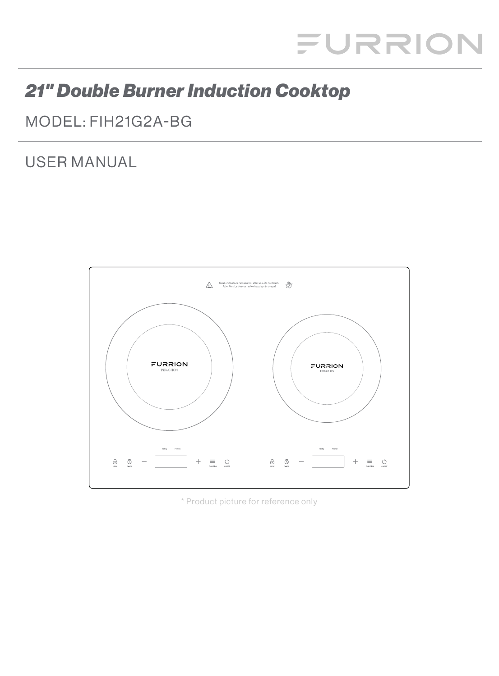# FURRION

# **21" Double Burner Induction Cooktop**

MODEL: FIH21G2A-BG

# **USER MANUAL**



\* Product picture for reference only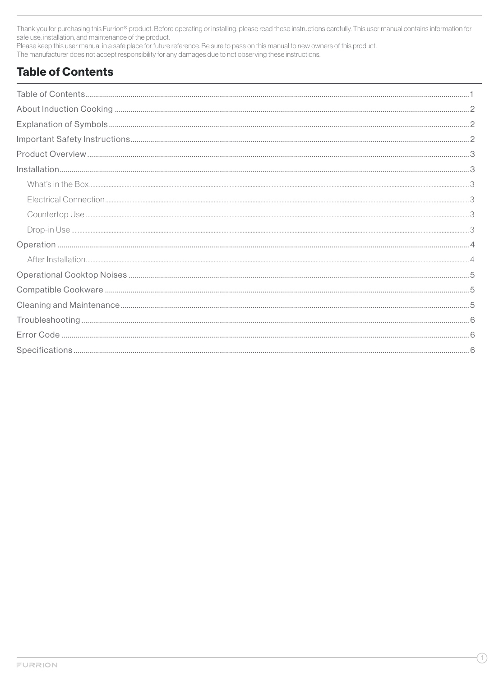Thank you for purchasing this Furrion® product. Before operating or installing, please read these instructions carefully. This user manual contains information for safe use, installation, and maintenance of the product.

Please keep this user manual in a safe place for future reference. Be sure to pass on this manual to new owners of this product.

The manufacturer does not accept responsibility for any damages due to not observing these instructions.

# **Table of Contents**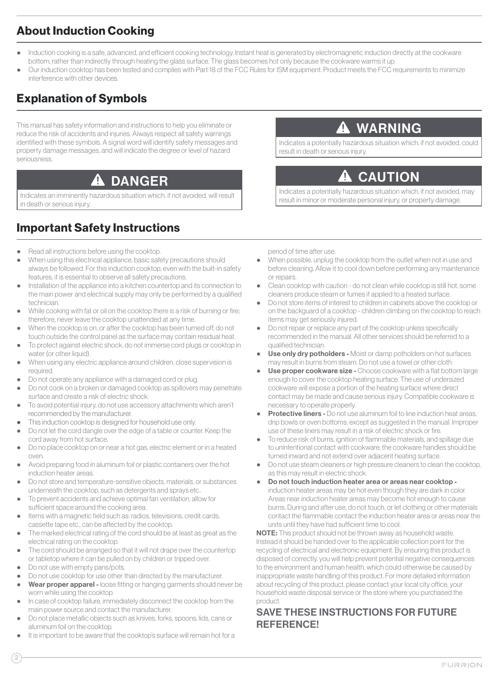# <span id="page-2-0"></span>About Induction Cooking

- Induction cooking is a safe, advanced, and efficient cooking technology. Instant heat is generated by electromagnetic induction directly at the cookware bottom, rather than indirectly through heating the glass surface. The glass becomes hot only because the cookware warms it up.
- Our induction cooktop has been tested and complies with Part 18 of the FCC Rules for ISM equipment. Product meets the FCC requirements to minimize interference with other devices.

# Explanation of Symbols

This manual has safety information and instructions to help you eliminate or reduce the risk of accidents and injuries. Always respect all safety warnings identified with these symbols. A signal word will identify safety messages and property damage messages, and will indicate the degree or level of hazard seriousness.

#### DANGER 4

Indicates an imminently hazardous situation which, if not avoided, will result in death or serious injury.

# Important Safety Instructions

- Read all instructions before using the cooktop.
- When using this electrical appliance, basic safety precautions should always be followed. For this induction cooktop, even with the built-in safety features, it is essential to observe all safety precautions.
- Installation of the appliance into a kitchen countertop and its connection to the main power and electrical supply may only be performed by a qualified technician.
- While cooking with fat or oil on the cooktop there is a risk of burning or fire; therefore, never leave the cooktop unattended at any time.
- When the cooktop is on, or after the cooktop has been turned off, do not touch outside the control panel as the surface may contain residual heat.
- To protect against electric shock, do not immerse cord plugs or cooktop in water (or other liquid).
- When using any electric appliance around children, close supervision is required.
- Do not operate any appliance with a damaged cord or plug.
- Do not cook on a broken or damaged cooktop as spillovers may penetrate surface and create a risk of electric shock.
- To avoid potential injury, do not use accessory attachments which aren't recommended by the manufacturer.
- This induction cooktop is designed for household use only.
- Do not let the cord dangle over the edge of a table or counter. Keep the cord away from hot surface.
- Do no place cooktop on or near a hot gas, electric element or in a heated oven.
- Avoid preparing food in aluminum foil or plastic containers over the hot induction heater areas.
- Do not store and temperature-sensitive objects, materials, or substances underneath the cooktop, such as detergents and sprays etc..
- To prevent accidents and achieve optimal fan ventilation, allow for sufficient space around the cooking area.
- Items with a magnetic field such as: radios, televisions, credit cards, cassette tape etc., can be affected by the cooktop.
- The marked electrical rating of the cord should be at least as great as the electrical rating on the cooktop.
- The cord should be arranged so that it will not drape over the countertop or tabletop where it can be pulled on by children or tripped over.
- Do not use with empty pans/pots.
- Do not use cooktop for use other than directed by the manufacturer.
- Wear proper apparel loose fitting or hanging garments should never be worn while using the cooktop.
- In case of cooktop failure, immediately disconnect the cooktop from the main power source and contact the manufacturer.
- Do not place metallic objects such as knives, forks, spoons, lids, cans or aluminum foil on the cooktop.
- It is important to be aware that the cooktop's surface will remain hot for a

**A** WARNING

Indicates a potentially hazardous situation which, if not avoided, could result in death or serious injury.

# **CAUTION**

Indic ates a potentially hazardous situation which, if not avoided, may result in minor or moderate personal injury, or property damage.

period of time after use.

- When possible, unplug the cooktop from the outlet when not in use and before cleaning. Allow it to cool down before per forming any maintenance or repairs.
- Clean cooktop with caution do not clean while cooktop is still hot, some cleaners produce steam or fumes if applied to a heated surface.
- Do not store items of interest to children in cabinets above the cooktop or on the backguard of a cooktop - children climbing on the cooktop to reach items may get seriously injured.
- Do not repair or replace any part of the cooktop unless specifically recommended in the manual. All other ser vices should be referred to a qualified technician.
- Use only dry potholders Moist or damp potholders on hot surfaces may result in burns from steam. Do not use a towel or other cloth.
- Use proper cookware size Choose cookware with a flat bottom large enough to cover the cooktop heating surface. The use of undersized cookware will expose a portion of the heating surface where direct contact may be made and cause serious injury. Compatible cookware is necessary to operate properly.
- **Protective liners -** Do not use aluminum foil to line induction heat areas, drip bowls or oven bottoms; except as suggested in the manual. Improper use of these liners may result in a risk of electric shock or fire.
- To reduce risk of burns, ignition of flammable materials, and spillage due to unintentional contact with cookware, the cookware handles should be turned inward and not extend over adjacent heating surface.
- Do not use steam cleaners or high pressure cleaners to clean the cooktop, as this may result in electric shock.
- Do not touch induction heater area or areas near cooktop induction heater areas may be hot even though they are dark in color. Areas near induction heater areas may become hot enough to cause burns. During and after use, do not touch, or let clothing or other materials contact the flammable contact the induction heater area or areas near the units until they have had sufficient time to cool.

NOTE: This product should not be thrown away as household waste. Instead it should be handed over to the applicable collection point for the recycling of electrical and electronic equipment. By ensuring this product is disposed of correctly, you will help prevent potential negative consequences to the environment and human health, which could otherwise be caused by inappropriate waste handling of this product. For more detailed information about recycling of this product, please contact your local city office, your household waste disposal service or the store where you purchased the product.

# SAVE THESE INSTRUCTIONS FOR FUTURE REFERENCE!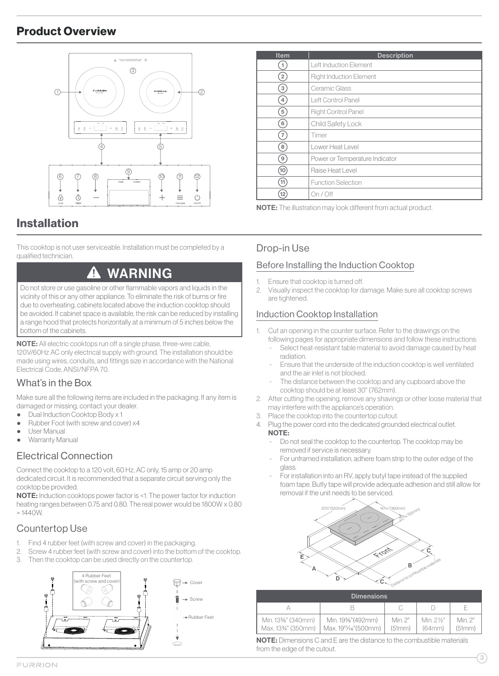# <span id="page-3-0"></span>Product Overview



# Installation

This cooktop is not user serviceable. Installation must be completed by a qualified technician.

# WARNING

Do not store or use gasoline or other flammable vapors and liquids in the vicinity of this or any other appliance. To eliminate the risk of burns or fire due to overheating, cabinets located above the induction cooktop should be avoided. If cabinet space is available, the risk can be reduced by installing a range hood that protects horizontally at a minimum of 5 inches below the bottom of the cabinets.

NOTE: All electric cooktops run off a single phase, three-wire cable, 120V/60Hz AC only electrical supply with ground. The installation should be made using wires, conduits, and fittings size in accordance with the National Electrical Code, ANSI/NFPA 70.

# What's in the Box

Make sure all the following items are included in the packaging. If any item is da maged or missing, contact your dealer.

- **Dual Induction Cooktop Body x 1**
- Rubber Foot (with screw and cover) x4
- User Manual
- **Warranty Manual**

# Electrical Connection

Connect the cooktop to a 120 volt, 60 Hz , AC only, 15 amp or 20 amp dedicated circuit. It is recommended that a separate circuit serving only the cooktop be provided.

NOTE: Induction cooktops power factor is <1. The power factor for induction heating ranges between 0.75 and 0.80. The real power would be 1800W x 0.80  $= 1440W$ 

### Countertop Use

- Find 4 rubber feet (with screw and cover) in the packaging.
- 2. Screw 4 rubber feet (with screw and cover) into the bottom of the cooktop.
- 3. Then the cooktop can be used directly on the countertop.



| <b>Item</b>    | <b>Description</b>             |
|----------------|--------------------------------|
|                | Left Induction Element         |
| $\overline{2}$ | <b>Right Induction Element</b> |
| 3 <sup>2</sup> | Ceramic Glass                  |
| $\overline{4}$ | Left Control Panel             |
| 5 <sup>2</sup> | <b>Right Control Panel</b>     |
| $6^{\circ}$    | Child Safety Lock              |
| $\overline{7}$ | Timer                          |
| 8 <sup>1</sup> | Lower Heat Level               |
| 9 <sup>1</sup> | Power or Temperature Indicator |
| (10)           | Raise Heat Level               |
| 11)            | <b>Function Selection</b>      |
|                | On / Off                       |

NOTE: The illustration may look different from actual product.

### Drop-in Use

### Before Installing the Induction Cooktop

- 1. Ensure that cooktop is turned off.
- 2 . Visually inspect the cooktop for damage. Make sure all cooktop screws are tightened.

### Induction Cooktop Installation

- 1. Cut an opening in the counter surface. Refer to the drawings on the following pages for appropriate dimensions and follow these instructions:
	- Select heat-resistant table material to avoid damage caused by heat radiation.
	- Ensure that the underside of the induction cooktop is well ventilated and the air inlet is not blocked.
	- The distance between the cooktop and any cupboard above the cooktop should be at least 30" ( 762mm).
- 2. After cutting the opening, remove any shavings or other loose material that may interfere with the appliance's operation.
- 3. Place the cooktop into the countertop cutout.
- 4. Plug the power cord into the dedicated grounded electrical outlet. NOTE:
	- Do not seal the cooktop to the countertop. The cooktop may be removed if service is necessary.
	- For unframed installation, adhere foam strip to the outer edge of the glass
	- For installation into an RV, apply butyl tape instead of the supplied foam tape. Butly tape will provide adequate adhesion and still allow for removal if the unit needs to be ser viced.



| <b>Dimensions</b> |                                                                |                  |                   |                  |  |  |  |  |  |
|-------------------|----------------------------------------------------------------|------------------|-------------------|------------------|--|--|--|--|--|
|                   |                                                                |                  |                   | F                |  |  |  |  |  |
| Min. 13%" (340mm) | Min. 19%" (492mm)<br>Max. 1334" (350mm)   Max. 1911/6" (500mm) | Min 2"<br>(51mm) | Min 2½"<br>(64mm) | Min 2"<br>(51mm) |  |  |  |  |  |

NOTE: Dimensions C and E are the distance to the combustible materials from the edge of the cutout.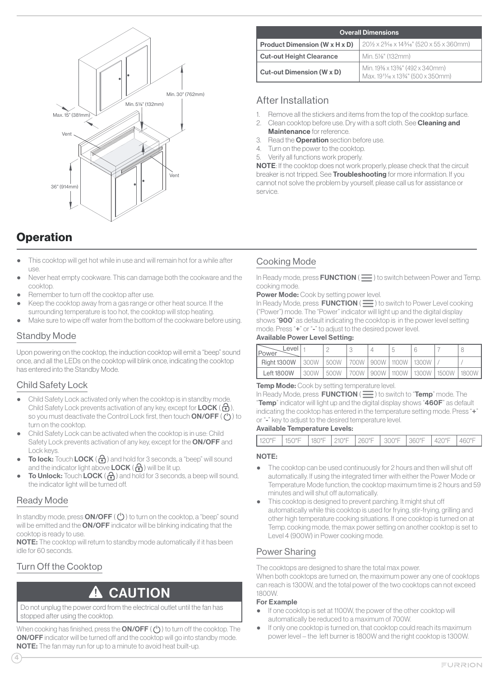<span id="page-4-0"></span>

| <b>Operation</b> |  |
|------------------|--|
|------------------|--|

- This cooktop will get hot while in use and will remain hot for a while after use.
- Never heat empty cookware. This can damage both the cookware and the cooktop.
- Remember to turn off the cooktop after use.
- Keep the cooktop away from a gas range or other heat source. If the surrounding temperature is too hot, the cooktop will stop heating.
- Make sure to wipe off water from the bottom of the cookware before using.

### Standby Mode

Upon powering on the cooktop, the induction cooktop will emit a "beep" sound once, and all the LEDs on the cooktop will blink once, indicating the cooktop has entered into the Standby Mode.

### Child Safety Lock

- Child Safety Lock activated only when the cooktop is in standby mode. Child Safety Lock prevents activation of any key, except for LOCK ( $\bigcap$ ), so you must deactivate the Control Lock first, then touch  $ON/OFF$  ( $\langle \cdot \rangle$ ) to turn on the cooktop.
- Child Safety Lock can be activated when the cooktop is in use: Child Safety Lock prevents activation of any key, except for the **ON/OFF** and Lock keys.
- **To lock:** Touch **LOCK** ( $\bigodot$ ) and hold for 3 seconds, a "beep" will sound and the indicator light above **LOCK** ( $\bigcap$ ) will be lit up.
- To Unlock: Touch LOCK ( $\bigodot$ ) and hold for 3 seconds, a beep will sound, the indicator light will be turned off.

### Ready Mode

In standby mode, press  $ON/OFF$  ( $\circlearrowleft$ ) to turn on the cooktop, a "beep" sound will be emitted and the ON/OFF indicator will be blinking indicating that the cooktop is ready to use.

NOTE: The cooktop will return to standby mode automatically if it has been idle for 60 seconds.

# Turn Off the Cooktop

#### 71 CAUTION

Do not unplug the power cord from the electrical outlet until the fan has stopped after using the cooktop.

When cooking has finished, press the **ON/OFF**  $(')$  to turn off the cooktop. The ON/OFF indicator will be turned off and the cooktop will go into standby mode. NOTE: The fan may run for up to a minute to avoid heat built-up.

| <b>Overall Dimensions</b>            |                                                                     |  |  |  |  |  |
|--------------------------------------|---------------------------------------------------------------------|--|--|--|--|--|
| <b>Product Dimension (W x H x D)</b> | 201/2 x 23/16 x 143/16" (520 x 55 x 360mm)                          |  |  |  |  |  |
| <b>Cut-out Height Clearance</b>      | Min. 51/ <sub>8</sub> " (132mm)                                     |  |  |  |  |  |
| Cut-out Dimension (W x D)            | Min. 19% x 13%" (492 x 340mm)<br>Max. 1911/16 x 1334" (500 x 350mm) |  |  |  |  |  |

### After Installation

- 1. Remove all the stickers and items from the top of the cooktop surface.
- 2. Clean cooktop before use. Dry with a soft cloth. See **Cleaning and** Maintenance for reference.
- 3. Read the **Operation** section before use.
- 4. Turn on the power to the cooktop.
- 5. Verify all functions work properly.

NOTE: If the cooktop does not work properly, please check that the circuit breaker is not tripped. See **Troubleshooting** for more information. If you cannot not solve the problem by yourself, please call us for assistance or service.

### Cooking Mode

In Ready mode, press  $\textrm{FUNCTION} (\equiv)$  to switch between Power and Temp. cooking mode.

Power Mode: Cook by setting power level.

In Ready Mode, press  $\mathsf{FUNCTION}\left(\equiv\right)$  to switch to Power Level cooking ("Power ") mode. The "Power " indic ator will light up and the digital display shows "900" as default indicating the cooktop is in the power level setting mode. Press "+" or "-" to adjust to the desired power level.

#### Available Power Level Setting:

| Level<br><b>IPower</b> |      |                                 |  |  |                                                    |  |
|------------------------|------|---------------------------------|--|--|----------------------------------------------------|--|
| <b>Right 1300W</b>     | 300W | 1500W 1700W 1900W 11100W 11300W |  |  |                                                    |  |
| <b>Left 1800W</b>      | 300W |                                 |  |  | 500W   700W   900W   1100W   1300W   1500W   1800W |  |

#### **Temp Mode:** Cook by setting temperature level.

In Ready Mode, press  $FUNCTION \nvert \equiv$  to switch to "Temp" mode. The "Temp" indicator will light up and the digital display shows "460F" as default indicating the cooktop has entered in the temperature setting mode. Press "+" or "-" key to adjust to the desired temperature level.

#### Available Temperature Levels:

| 120°F | 150°F  180°F  210°F  260°F   300°F  360°F  420°F |  |  |  | $1460^{\circ}F$ |
|-------|--------------------------------------------------|--|--|--|-----------------|
|       |                                                  |  |  |  |                 |

#### NOTE:

- The cooktop can be used continuously for 2 hours and then will shut off automatic ally. If using the integrated timer with either the Power Mode or Temperature Mode function, the cooktop maximum time is 2 hours and 59 minutes and will shut off automatically.
- This cooktop is designed to prevent parching. It might shut off automatically while this cooktop is used for frying, stir-frying, grilling and other high temperature cooking situations. If one cooktop is turned on at Temp. cooking mode, the max power setting on another cooktop is set to Level 4 (900W) in Power cooking mode.

### Power Sharing

The cooktops are designed to share the total max power. When both cooktops are turned on, the maximum power any one of cooktops can reach is 1300W, and the total power of the two cooktops can not exceed 1800W.

#### For Example

- If one cooktop is set at 1100W, the power of the other cooktop will automatically be reduced to a maximum of 700W.
- If only one cooktop is turned on, that cooktop could reach its maximum power level – the left burner is 1800W and the right cooktop is 1300W.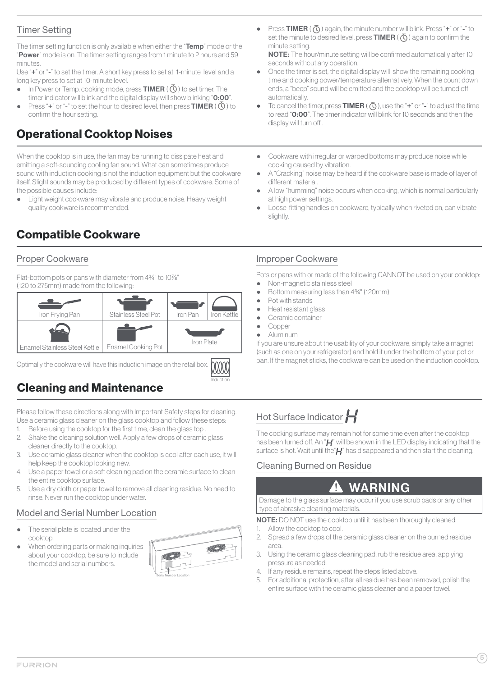# <span id="page-5-0"></span>Timer Setting

The timer setting function is only available when either the "Temp" mode or the "Power" mode is on. The timer setting ranges from 1 minute to 2 hours and 59 minutes.

Use "+" or "-" to set the timer. A short key press to set at 1-minute level and a long key press to set at 10-minute level.

- In Power or Temp. cooking mode, press **TIMER** ( $\overline{\mathbb{Q}}$ ) to set timer. The timer indicator will blink and the digital display will show blinking "0:00".
- Press "+" or "-" to set the hour to desired level, then press **TIMER** ( $\overline{Q}$ ) to confirm the hour setting.

# Operational Cooktop Noises

When the cooktop is in use, the fan may be running to dissipate heat and emitting a soft-sounding cooling fan sound. What can sometimes produce sound with induction cooking is not the induction equipment but the cookware itself. Slight sounds may be produced by different types of cookware. Some of the possible causes include:

• Light weight cookware may vibrate and produce noise. Heavy weight quality cookware is recommended.

# Compatible Cookware

### Proper Cookware

Flat-bottom pots or pans with diameter from 434" to 107%" (120 to 275mm) made from the following:



Optimally the cookware will have this induction image on the retail box.

# Cleaning and Maintenance

Please follow these directions along with Important Safety steps for cleaning. Use a ceramic glass cleaner on the glass cooktop and follow these steps:

- 1. Before using the cooktop for the first time, clean the glass top
- 2. Shake the cleaning solution well. Apply a few drops of ceramic glass cleaner directly to the cooktop.
- 3. Use ceramic glass cleaner when the cooktop is cool after each use, it will help keep the cooktop looking new.
- 4. Use a paper towel or a soft cleaning pad on the ceramic surface to clean the entire cooktop surface.
- 5. Use a dry cloth or paper towel to remove all cleaning residue. No need to rinse. Never run the cooktop under water.

# Model and Serial Number Location

- The serial plate is located under the cooktop.
- When ordering parts or making inquiries about your cooktop, be sure to include the model and serial numbers.



Induction

• Press TIMER  $(\bar{Q})$  again, the minute number will blink. Press "+" or "-" to set the minute to desired level, press  $TIMER(\overline{Q})$  again to confirm the minute setting.

NOTE: The hour/minute setting will be confirmed automatically after 10 seconds without any operation.

- Once the timer is set, the digital display will show the remaining cooking time and cooking power/temperature alternatively. When the count down ends, a "beep" sound will be emitted and the cooktop will be turned off automatically.
- To cancel the timer, press TIMER ( $\overline{O}$ ), use the "+" or "-" to adjust the time to read "0:00". The timer indicator will blink for 10 seconds and then the display will turn off..
- Cookware with irregular or warped bottoms may produce noise while cooking caused by vibration.
- A "Cracking" noise may be heard if the cookware base is made of layer of different material.
- A low "humming" noise occurs when cooking, which is normal particularly at high power settings.
- Loose-fitting handles on cookware, typically when riveted on, can vibrate slightly.

### Improper Cookware

Pots or pans with or made of the following CANNOT be used on your cooktop:

- Non-magnetic stainless steel Bottom measuring less than 43/4" (120mm)
- Pot with stands
- Heat resistant glass
- Ceramic container
- Copper
- Aluminum

If you are unsure about the usability of your cookware, simply take a magnet (such as one on your refrigerator) and hold it under the bottom of your pot or pan. If the magnet sticks, the cookware can be used on the induction cooktop.

# Hot Surface Indicator

The cooking surface may remain hot for some time even after the cooktop has been turned off. An " $H$ " will be shown in the LED display indicating that the surface is hot. Wait until the " $H$ " has disappeared and then start the cleaning.

### Cleaning Burned on Residue

#### **AN** WARNING

Damage to the glass surface may occur if you use scrub pads or any other type of abrasive cleaning materials.

NOTE: DO NOT use the cooktop until it has been thoroughly cleaned. 1. Allow the cooktop to cool.

- 2. Spread a few drops of the ceramic glass cleaner on the burned residue area .
- 3. Using the ceramic glass cleaning pad, rub the residue area , applying pressure as needed.
- 4. If any residue remains, repeat the steps listed above.
- 5. For additional protection, after all residue has been removed, polish the entire surface with the ceramic glass cleaner and a paper towel.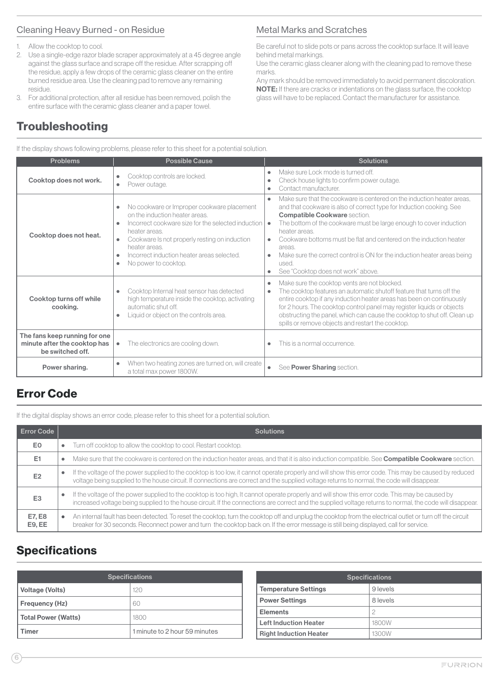### <span id="page-6-0"></span>Cleaning Heavy Burned - on Residue

- 1. Allow the cooktop to cool.
- 2. Use a single-edge razor blade scraper approximately at a 45 degree angle against the glass surface and scrape off the residue. After scrapping off the residue, apply a few drops of the ceramic glass cleaner on the entire burned residue area . Use the cleaning pad to remove any remaining residue.
- 3. For additional protection, after all residue has been removed, polish the entire surface with the ceramic glass cleaner and a paper towel.

# Troubleshooting

If the display shows following problems, please refer to this sheet for a potential solution.

#### Problems | Possible Cause | Possible Cause | Solutions Cooktop does not work.  $\begin{vmatrix} \bullet & \text{Cooktop controls are locked} \\ \bullet & \text{Cooktop controls are locked} \end{vmatrix}$ Power outage. ● Make sure Lock mode is turned off.<br>● Check house lights to confirm powe Check house lights to confirm power outage. ● Contact manufacturer. Cooktop does not heat. ● No cookware or Improper cookware placement on the induction heater areas. ● Incorrect cookware size for the selected induction heater areas. Cookware Is not properly resting on induction heater areas. Incorrect induction heater areas selected. No power to cooktop. ● Make sure that the cookware is centered on the induction heater areas, and that cookware is also of correct type for Induction cooking. See Compatible Cookware section. • The bottom of the cookware must be large enough to cover induction heater areas. Cookware bottoms must be flat and centered on the induction heater areas. ● Make sure the correct control is ON for the induction heater areas being used. ● See "Cooktop does not work" above. Cooktop turns off while cooking. ● Cooktop Internal heat sensor has detected high temperature inside the cooktop, activating automatic shut off. Liquid or object on the controls area. ● Make sure the cooktop vents are not blocked. ● The cooktop features an automatic shutoff feature that turns off the entire cooktop if any induction heater areas has been on continuously for 2 hours. The cooktop control panel may register liquids or objects obstructing the panel, which can cause the cooktop to shut off. Clean up spills or remove objects and restart the cooktop. The fans keep running for one minute after the cooktop has be switched off.  $\bullet$  The electronics are cooling down.  $\bullet$  This is a normal occurrence. Power sharing. <br>
<br>
Power sharing.

when two neating zones are turned on, will create **example.** See **Power Sharing** section.

# Error Code

If the digital display shows an error code, please refer to this sheet for a potential solution.

| <b>Error Code</b> |           | <b>Solutions</b>                                                                                                                                                                                                                                                                                               |
|-------------------|-----------|----------------------------------------------------------------------------------------------------------------------------------------------------------------------------------------------------------------------------------------------------------------------------------------------------------------|
| E <sub>0</sub>    | ٠         | Turn off cooktop to allow the cooktop to cool. Restart cooktop.                                                                                                                                                                                                                                                |
| E <sub>1</sub>    | ٠         | Make sure that the cookware is centered on the induction heater areas, and that it is also induction compatible. See Compatible Cookware section.                                                                                                                                                              |
| E <sub>2</sub>    | $\bullet$ | If the voltage of the power supplied to the cooktop is too low, it cannot operate properly and will show this error code. This may be caused by reduced<br>voltage being supplied to the house circuit. If connections are correct and the supplied voltage returns to normal, the code will disappear.        |
| E <sub>3</sub>    | ٠         | If the voltage of the power supplied to the cooktop is too high, It cannot operate properly and will show this error code. This may be caused by<br>increased voltage being supplied to the house circuit. If the connections are correct and the supplied voltage returns to normal, the code will disappear. |
| E7, E8<br>E9, EE  | $\bullet$ | An internal fault has been detected. To reset the cooktop, turn the cooktop off and unplug the cooktop from the electrical outlet or turn off the circuit<br>breaker for 30 seconds. Reconnect power and turn the cooktop back on. If the error message is still being displayed, call for service.            |

# **Specifications**

| <b>Specifications</b> |                               |  |  |  |  |
|-----------------------|-------------------------------|--|--|--|--|
| Voltage (Volts)       | 120                           |  |  |  |  |
| Frequency (Hz)        | 60                            |  |  |  |  |
| Total Power (Watts)   | 1800                          |  |  |  |  |
| 'imer                 | 1 minute to 2 hour 59 minutes |  |  |  |  |

| <b>Specifications</b>         |          |  |  |  |  |
|-------------------------------|----------|--|--|--|--|
| <b>Temperature Settings</b>   | 9 levels |  |  |  |  |
| <b>Power Settings</b>         | 8 levels |  |  |  |  |
| <b>Elements</b>               |          |  |  |  |  |
| <b>Left Induction Heater</b>  | 1800W    |  |  |  |  |
| <b>Right Induction Heater</b> | 1300W    |  |  |  |  |

### Metal Marks and Scratches

Be careful not to slide pots or pans across the cooktop surface. It will leave behind metal markings.

Use the ceramic glass cleaner along with the cleaning pad to remove these marks.

Any mark should be removed immediately to avoid permanent discoloration. NOTE: If there are cracks or indentations on the glass surface, the cooktop glass will have to be replaced. Contact the manufacturer for assistance.